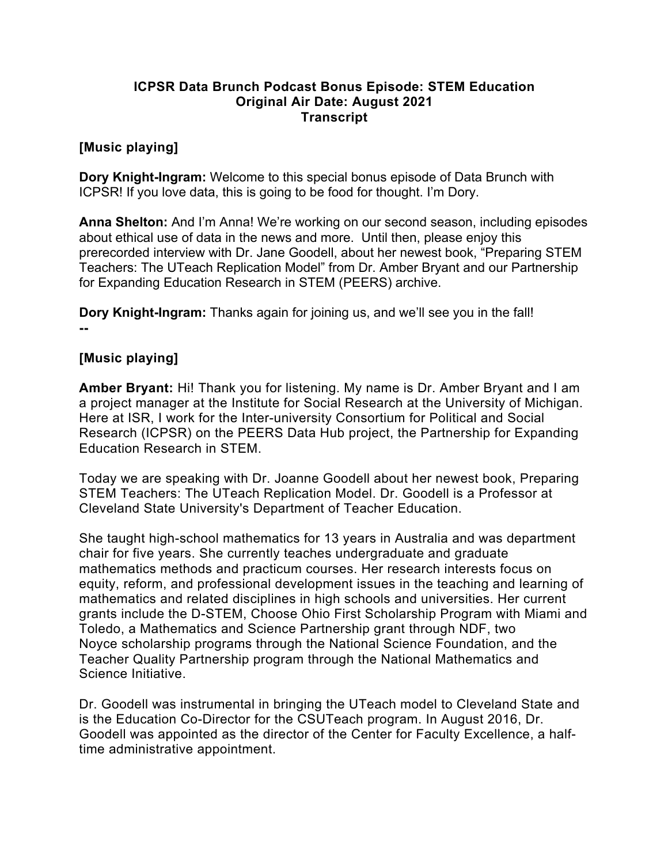### **ICPSR Data Brunch Podcast Bonus Episode: STEM Education Original Air Date: August 2021 Transcript**

# **[Music playing]**

**Dory Knight-Ingram:** Welcome to this special bonus episode of Data Brunch with ICPSR! If you love data, this is going to be food for thought. I'm Dory.

**Anna Shelton:** And I'm Anna! We're working on our second season, including episodes about ethical use of data in the news and more. Until then, please enjoy this prerecorded interview with Dr. Jane Goodell, about her newest book, "Preparing STEM Teachers: The UTeach Replication Model" from Dr. Amber Bryant and our Partnership for Expanding Education Research in STEM (PEERS) archive.

**Dory Knight-Ingram:** Thanks again for joining us, and we'll see you in the fall! **--**

#### **[Music playing]**

**Amber Bryant:** Hi! Thank you for listening. My name is Dr. Amber Bryant and I am a project manager at the Institute for Social Research at the University of Michigan. Here at ISR, I work for the Inter-university Consortium for Political and Social Research (ICPSR) on the PEERS Data Hub project, the Partnership for Expanding Education Research in STEM.

Today we are speaking with Dr. Joanne Goodell about her newest book, Preparing STEM Teachers: The UTeach Replication Model. Dr. Goodell is a Professor at Cleveland State University's Department of Teacher Education.

She taught high-school mathematics for 13 years in Australia and was department chair for five years. She currently teaches undergraduate and graduate mathematics methods and practicum courses. Her research interests focus on equity, reform, and professional development issues in the teaching and learning of mathematics and related disciplines in high schools and universities. Her current grants include the D-STEM, Choose Ohio First Scholarship Program with Miami and Toledo, a Mathematics and Science Partnership grant through NDF, two Noyce scholarship programs through the National Science Foundation, and the Teacher Quality Partnership program through the National Mathematics and Science Initiative.

Dr. Goodell was instrumental in bringing the UTeach model to Cleveland State and is the Education Co-Director for the CSUTeach program. In August 2016, Dr. Goodell was appointed as the director of the Center for Faculty Excellence, a halftime administrative appointment.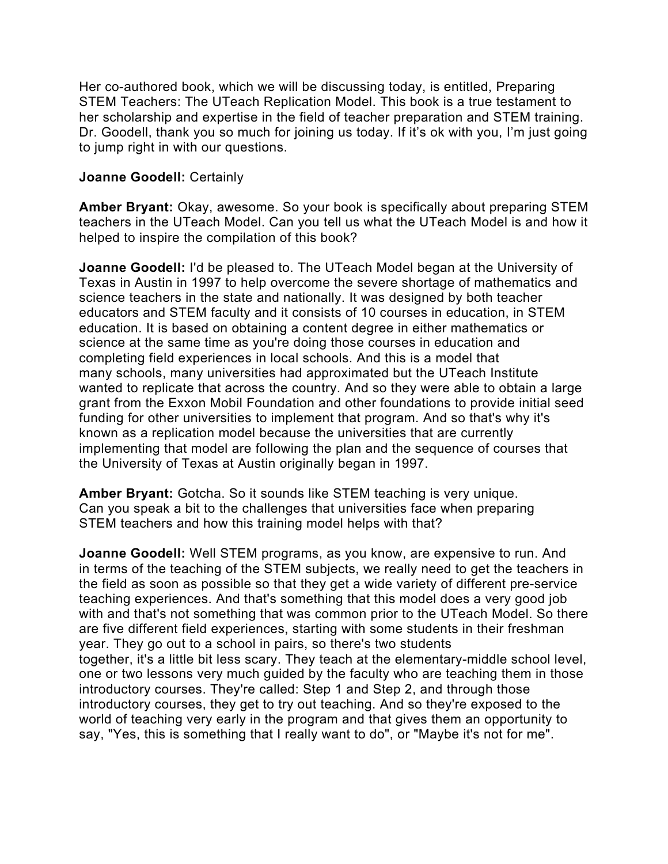Her co-authored book, which we will be discussing today, is entitled, Preparing STEM Teachers: The UTeach Replication Model. This book is a true testament to her scholarship and expertise in the field of teacher preparation and STEM training. Dr. Goodell, thank you so much for joining us today. If it's ok with you, I'm just going to jump right in with our questions.

## **Joanne Goodell:** Certainly

**Amber Bryant:** Okay, awesome. So your book is specifically about preparing STEM teachers in the UTeach Model. Can you tell us what the UTeach Model is and how it helped to inspire the compilation of this book?

**Joanne Goodell:** I'd be pleased to. The UTeach Model began at the University of Texas in Austin in 1997 to help overcome the severe shortage of mathematics and science teachers in the state and nationally. It was designed by both teacher educators and STEM faculty and it consists of 10 courses in education, in STEM education. It is based on obtaining a content degree in either mathematics or science at the same time as you're doing those courses in education and completing field experiences in local schools. And this is a model that many schools, many universities had approximated but the UTeach Institute wanted to replicate that across the country. And so they were able to obtain a large grant from the Exxon Mobil Foundation and other foundations to provide initial seed funding for other universities to implement that program. And so that's why it's known as a replication model because the universities that are currently implementing that model are following the plan and the sequence of courses that the University of Texas at Austin originally began in 1997.

**Amber Bryant:** Gotcha. So it sounds like STEM teaching is very unique. Can you speak a bit to the challenges that universities face when preparing STEM teachers and how this training model helps with that?

**Joanne Goodell:** Well STEM programs, as you know, are expensive to run. And in terms of the teaching of the STEM subjects, we really need to get the teachers in the field as soon as possible so that they get a wide variety of different pre-service teaching experiences. And that's something that this model does a very good job with and that's not something that was common prior to the UTeach Model. So there are five different field experiences, starting with some students in their freshman year. They go out to a school in pairs, so there's two students together, it's a little bit less scary. They teach at the elementary-middle school level, one or two lessons very much guided by the faculty who are teaching them in those introductory courses. They're called: Step 1 and Step 2, and through those introductory courses, they get to try out teaching. And so they're exposed to the world of teaching very early in the program and that gives them an opportunity to say, "Yes, this is something that I really want to do", or "Maybe it's not for me".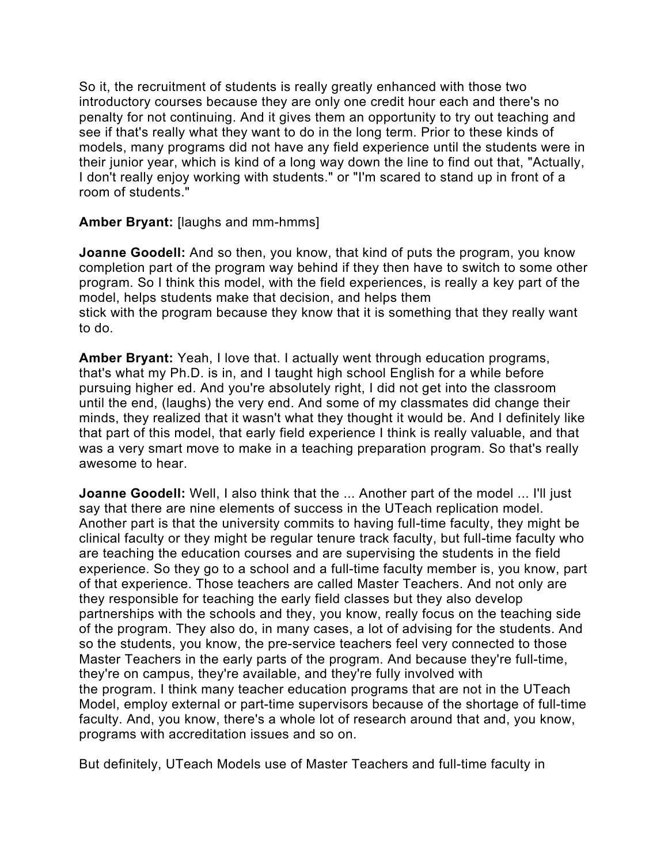So it, the recruitment of students is really greatly enhanced with those two introductory courses because they are only one credit hour each and there's no penalty for not continuing. And it gives them an opportunity to try out teaching and see if that's really what they want to do in the long term. Prior to these kinds of models, many programs did not have any field experience until the students were in their junior year, which is kind of a long way down the line to find out that, "Actually, I don't really enjoy working with students." or "I'm scared to stand up in front of a room of students."

**Amber Bryant:** [laughs and mm-hmms]

**Joanne Goodell:** And so then, you know, that kind of puts the program, you know completion part of the program way behind if they then have to switch to some other program. So I think this model, with the field experiences, is really a key part of the model, helps students make that decision, and helps them stick with the program because they know that it is something that they really want to do.

**Amber Bryant:** Yeah, I love that. I actually went through education programs, that's what my Ph.D. is in, and I taught high school English for a while before pursuing higher ed. And you're absolutely right, I did not get into the classroom until the end, (laughs) the very end. And some of my classmates did change their minds, they realized that it wasn't what they thought it would be. And I definitely like that part of this model, that early field experience I think is really valuable, and that was a very smart move to make in a teaching preparation program. So that's really awesome to hear.

**Joanne Goodell:** Well, I also think that the ... Another part of the model ... I'll just say that there are nine elements of success in the UTeach replication model. Another part is that the university commits to having full-time faculty, they might be clinical faculty or they might be regular tenure track faculty, but full-time faculty who are teaching the education courses and are supervising the students in the field experience. So they go to a school and a full-time faculty member is, you know, part of that experience. Those teachers are called Master Teachers. And not only are they responsible for teaching the early field classes but they also develop partnerships with the schools and they, you know, really focus on the teaching side of the program. They also do, in many cases, a lot of advising for the students. And so the students, you know, the pre-service teachers feel very connected to those Master Teachers in the early parts of the program. And because they're full-time, they're on campus, they're available, and they're fully involved with the program. I think many teacher education programs that are not in the UTeach Model, employ external or part-time supervisors because of the shortage of full-time faculty. And, you know, there's a whole lot of research around that and, you know, programs with accreditation issues and so on.

But definitely, UTeach Models use of Master Teachers and full-time faculty in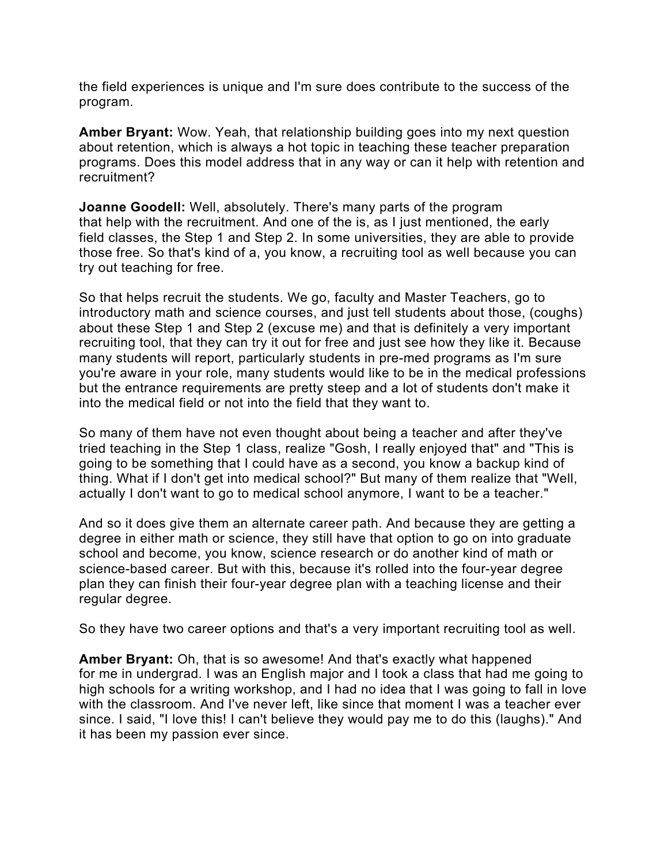the field experiences is unique and I'm sure does contribute to the success of the program.

**Amber Bryant:** Wow. Yeah, that relationship building goes into my next question about retention, which is always a hot topic in teaching these teacher preparation programs. Does this model address that in any way or can it help with retention and recruitment?

**Joanne Goodell:** Well, absolutely. There's many parts of the program that help with the recruitment. And one of the is, as I just mentioned, the early field classes, the Step 1 and Step 2. In some universities, they are able to provide those free. So that's kind of a, you know, a recruiting tool as well because you can try out teaching for free.

So that helps recruit the students. We go, faculty and Master Teachers, go to introductory math and science courses, and just tell students about those, (coughs) about these Step 1 and Step 2 (excuse me) and that is definitely a very important recruiting tool, that they can try it out for free and just see how they like it. Because many students will report, particularly students in pre-med programs as I'm sure you're aware in your role, many students would like to be in the medical professions but the entrance requirements are pretty steep and a lot of students don't make it into the medical field or not into the field that they want to.

So many of them have not even thought about being a teacher and after they've tried teaching in the Step 1 class, realize "Gosh, I really enjoyed that" and "This is going to be something that I could have as a second, you know a backup kind of thing. What if I don't get into medical school?" But many of them realize that "Well, actually I don't want to go to medical school anymore, I want to be a teacher."

And so it does give them an alternate career path. And because they are getting a degree in either math or science, they still have that option to go on into graduate school and become, you know, science research or do another kind of math or science-based career. But with this, because it's rolled into the four-year degree plan they can finish their four-year degree plan with a teaching license and their regular degree.

So they have two career options and that's a very important recruiting tool as well.

**Amber Bryant:** Oh, that is so awesome! And that's exactly what happened for me in undergrad. I was an English major and I took a class that had me going to high schools for a writing workshop, and I had no idea that I was going to fall in love with the classroom. And I've never left, like since that moment I was a teacher ever since. I said, "I love this! I can't believe they would pay me to do this (laughs)." And it has been my passion ever since.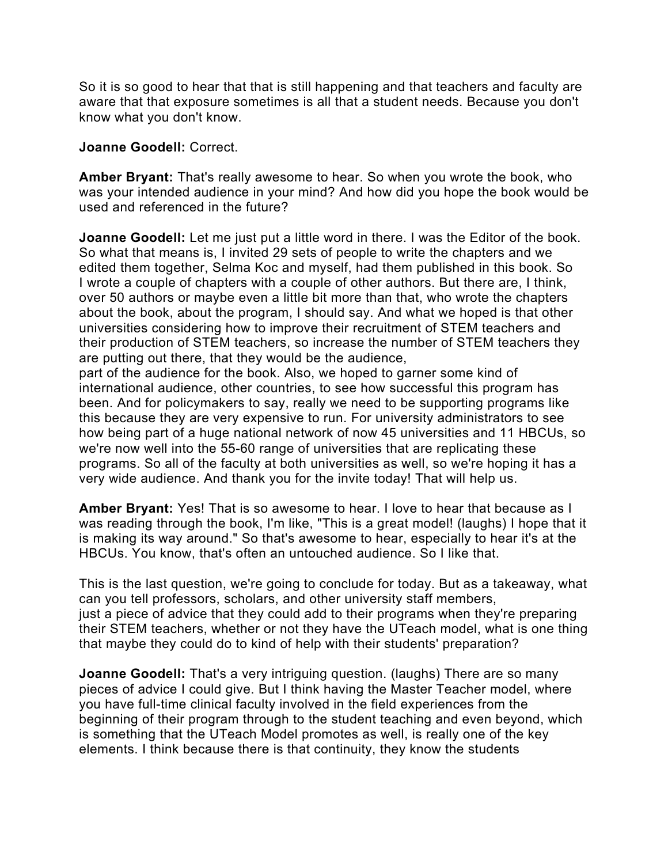So it is so good to hear that that is still happening and that teachers and faculty are aware that that exposure sometimes is all that a student needs. Because you don't know what you don't know.

#### **Joanne Goodell:** Correct.

**Amber Bryant:** That's really awesome to hear. So when you wrote the book, who was your intended audience in your mind? And how did you hope the book would be used and referenced in the future?

**Joanne Goodell:** Let me just put a little word in there. I was the Editor of the book. So what that means is, I invited 29 sets of people to write the chapters and we edited them together, Selma Koc and myself, had them published in this book. So I wrote a couple of chapters with a couple of other authors. But there are, I think, over 50 authors or maybe even a little bit more than that, who wrote the chapters about the book, about the program, I should say. And what we hoped is that other universities considering how to improve their recruitment of STEM teachers and their production of STEM teachers, so increase the number of STEM teachers they are putting out there, that they would be the audience,

part of the audience for the book. Also, we hoped to garner some kind of international audience, other countries, to see how successful this program has been. And for policymakers to say, really we need to be supporting programs like this because they are very expensive to run. For university administrators to see how being part of a huge national network of now 45 universities and 11 HBCUs, so we're now well into the 55-60 range of universities that are replicating these programs. So all of the faculty at both universities as well, so we're hoping it has a very wide audience. And thank you for the invite today! That will help us.

**Amber Bryant:** Yes! That is so awesome to hear. I love to hear that because as I was reading through the book, I'm like, "This is a great model! (laughs) I hope that it is making its way around." So that's awesome to hear, especially to hear it's at the HBCUs. You know, that's often an untouched audience. So I like that.

This is the last question, we're going to conclude for today. But as a takeaway, what can you tell professors, scholars, and other university staff members, just a piece of advice that they could add to their programs when they're preparing their STEM teachers, whether or not they have the UTeach model, what is one thing that maybe they could do to kind of help with their students' preparation?

**Joanne Goodell:** That's a very intriguing question. (laughs) There are so many pieces of advice I could give. But I think having the Master Teacher model, where you have full-time clinical faculty involved in the field experiences from the beginning of their program through to the student teaching and even beyond, which is something that the UTeach Model promotes as well, is really one of the key elements. I think because there is that continuity, they know the students